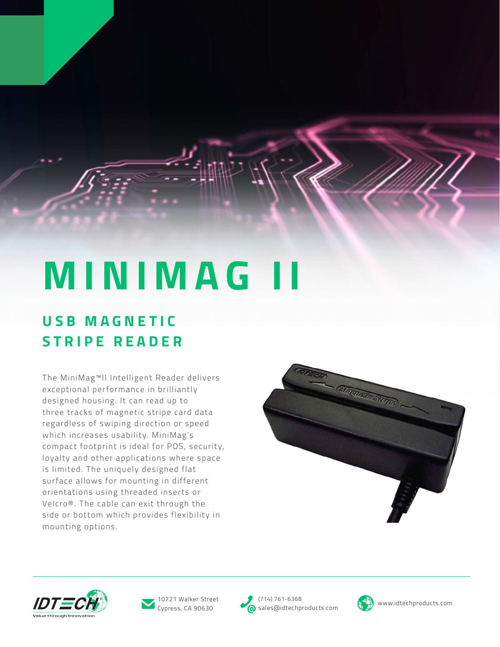## **MINIMAG**

## **U S B M A G N E T I C STRIPE READER**

The MiniMag™II Intelligent Reader delivers exceptional performance in brilliantly designed housing. It can read up to three tracks of magnetic stripe card data regardless of swiping direction or speed which increases usability. MiniMag's compact footprint is ideal for POS, security, loyalty and other applications where space is limited. The uniquely designed flat surface allows for mounting in different orientations using threaded inserts or Velcro®. The cable can exit through the side or bottom which provides flexibility in mounting options.







Cypress, CA 90630